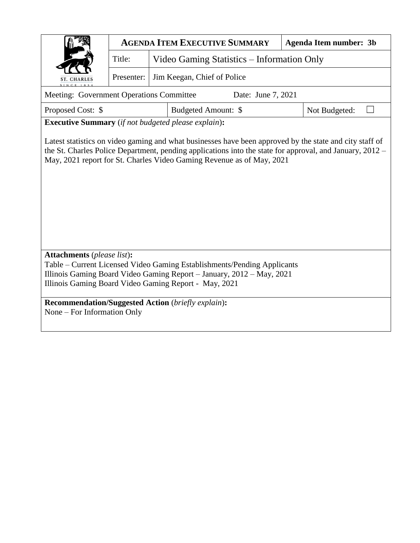|                                                                                                                                                                                   | <b>AGENDA ITEM EXECUTIVE SUMMARY</b><br><b>Agenda Item number: 3b</b> |  |                     |  |               |  |  |  |  |  |
|-----------------------------------------------------------------------------------------------------------------------------------------------------------------------------------|-----------------------------------------------------------------------|--|---------------------|--|---------------|--|--|--|--|--|
|                                                                                                                                                                                   | Title:<br>Video Gaming Statistics – Information Only                  |  |                     |  |               |  |  |  |  |  |
| ST. CHARLES                                                                                                                                                                       | Jim Keegan, Chief of Police<br>Presenter:                             |  |                     |  |               |  |  |  |  |  |
| Meeting: Government Operations Committee<br>Date: June 7, 2021                                                                                                                    |                                                                       |  |                     |  |               |  |  |  |  |  |
| Proposed Cost: \$                                                                                                                                                                 |                                                                       |  | Budgeted Amount: \$ |  | Not Budgeted: |  |  |  |  |  |
| <b>Executive Summary</b> (if not budgeted please explain):                                                                                                                        |                                                                       |  |                     |  |               |  |  |  |  |  |
| the St. Charles Police Department, pending applications into the state for approval, and January, 2012 –<br>May, 2021 report for St. Charles Video Gaming Revenue as of May, 2021 |                                                                       |  |                     |  |               |  |  |  |  |  |
| <b>Attachments</b> (please list):<br>Table – Current Licensed Video Gaming Establishments/Pending Applicants                                                                      |                                                                       |  |                     |  |               |  |  |  |  |  |
| Illinois Gaming Board Video Gaming Report - January, 2012 - May, 2021<br>Illinois Gaming Board Video Gaming Report - May, 2021                                                    |                                                                       |  |                     |  |               |  |  |  |  |  |
| <b>Recommendation/Suggested Action</b> (briefly explain):<br>None – For Information Only                                                                                          |                                                                       |  |                     |  |               |  |  |  |  |  |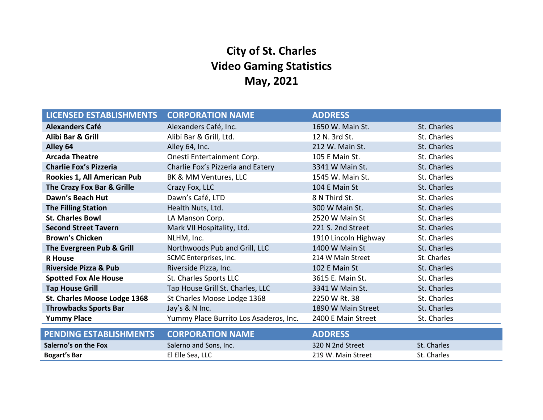# **City of St. Charles Video Gaming Statistics May, 2021**

| <b>LICENSED ESTABLISHMENTS</b>   | <b>CORPORATION NAME</b>                | <b>ADDRESS</b>       |             |
|----------------------------------|----------------------------------------|----------------------|-------------|
| <b>Alexanders Café</b>           | Alexanders Café, Inc.                  | 1650 W. Main St.     | St. Charles |
| Alibi Bar & Grill                | Alibi Bar & Grill, Ltd.                | 12 N. 3rd St.        | St. Charles |
| Alley 64                         | Alley 64, Inc.                         | 212 W. Main St.      | St. Charles |
| <b>Arcada Theatre</b>            | Onesti Entertainment Corp.             | 105 E Main St.       | St. Charles |
| <b>Charlie Fox's Pizzeria</b>    | Charlie Fox's Pizzeria and Eatery      | 3341 W Main St.      | St. Charles |
| Rookies 1, All American Pub      | BK & MM Ventures, LLC                  | 1545 W. Main St.     | St. Charles |
| The Crazy Fox Bar & Grille       | Crazy Fox, LLC                         | 104 E Main St        | St. Charles |
| Dawn's Beach Hut                 | Dawn's Café, LTD                       | 8 N Third St.        | St. Charles |
| <b>The Filling Station</b>       | Health Nuts, Ltd.                      | 300 W Main St.       | St. Charles |
| <b>St. Charles Bowl</b>          | LA Manson Corp.                        | 2520 W Main St       | St. Charles |
| <b>Second Street Tavern</b>      | Mark VII Hospitality, Ltd.             | 221 S. 2nd Street    | St. Charles |
| <b>Brown's Chicken</b>           | NLHM, Inc.                             | 1910 Lincoln Highway | St. Charles |
| The Evergreen Pub & Grill        | Northwoods Pub and Grill, LLC          | 1400 W Main St       | St. Charles |
| <b>R</b> House                   | SCMC Enterprises, Inc.                 | 214 W Main Street    | St. Charles |
| <b>Riverside Pizza &amp; Pub</b> | Riverside Pizza, Inc.                  | 102 E Main St        | St. Charles |
| <b>Spotted Fox Ale House</b>     | St. Charles Sports LLC                 | 3615 E. Main St.     | St. Charles |
| <b>Tap House Grill</b>           | Tap House Grill St. Charles, LLC       | 3341 W Main St.      | St. Charles |
| St. Charles Moose Lodge 1368     | St Charles Moose Lodge 1368            | 2250 W Rt. 38        | St. Charles |
| <b>Throwbacks Sports Bar</b>     | Jay's & N Inc.                         | 1890 W Main Street   | St. Charles |
| <b>Yummy Place</b>               | Yummy Place Burrito Los Asaderos, Inc. | 2400 E Main Street   | St. Charles |
| <b>PENDING ESTABLISHMENTS</b>    | <b>CORPORATION NAME</b>                | <b>ADDRESS</b>       |             |
| Salerno's on the Fox             | Salerno and Sons, Inc.                 | 320 N 2nd Street     | St. Charles |
|                                  |                                        |                      |             |
| <b>Bogart's Bar</b>              | El Elle Sea, LLC                       | 219 W. Main Street   | St. Charles |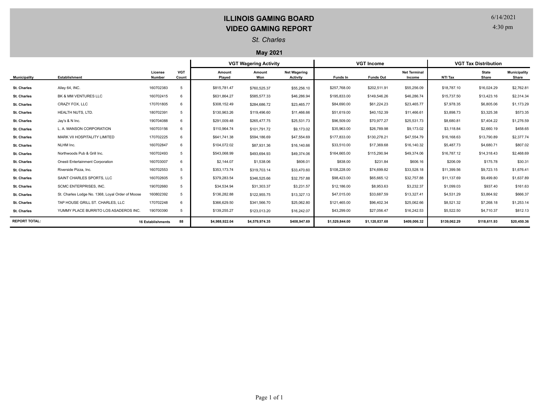## **ILLINOIS GAMING BOARD VIDEO GAMING REPORT**

6/14/2021

4:30 pm

### *St. Charles*

#### **May 2021**

|                      |                                                  |                          |                     | <b>VGT Wagering Activity</b> |                |                                        | <b>VGT Income</b> |                  |                               | <b>VGT Tax Distribution</b> |                       |                              |
|----------------------|--------------------------------------------------|--------------------------|---------------------|------------------------------|----------------|----------------------------------------|-------------------|------------------|-------------------------------|-----------------------------|-----------------------|------------------------------|
| <b>Municipality</b>  | Establishment                                    | License<br>Number        | <b>VGT</b><br>Count | Amount<br>Played             | Amount<br>Won  | <b>Net Wagering</b><br><b>Activity</b> | Funds In          | <b>Funds Out</b> | <b>Net Terminal</b><br>Income | NTI Tax                     | <b>State</b><br>Share | <b>Municipality</b><br>Share |
| <b>St. Charles</b>   | Alley 64, INC.                                   | 160702383                | 5                   | \$815.781.47                 | \$760,525.37   | \$55,256.10                            | \$257,768.00      | \$202,511.91     | \$55,256.09                   | \$18,787.10                 | \$16,024.29           | \$2,762.81                   |
| <b>St. Charles</b>   | BK & MM VENTURES LLC                             | 160702415                | 6                   | \$631,864.27                 | \$585,577.33   | \$46,286.94                            | \$195,833.00      | \$149,546.26     | \$46,286.74                   | \$15,737.50                 | \$13,423.16           | \$2,314.34                   |
| <b>St. Charles</b>   | CRAZY FOX, LLC                                   | 170701805                | 6                   | \$308,152.49                 | \$284,686.72   | \$23,465.77                            | \$84,690.00       | \$61,224.23      | \$23,465.77                   | \$7,978.35                  | \$6,805.06            | \$1,173.29                   |
| St. Charles          | HEALTH NUTS, LTD.                                | 180702391                | 5                   | \$130,963.26                 | \$119,496.60   | \$11,466.66                            | \$51,619.00       | \$40,152.39      | \$11,466.61                   | \$3,898.73                  | \$3,325.38            | \$573.35                     |
| <b>St. Charles</b>   | Jay's & N Inc.                                   | 190704088                | 6                   | \$291,009.48                 | \$265,477.75   | \$25,531.73                            | \$96,509.00       | \$70,977.27      | \$25,531.73                   | \$8,680.81                  | \$7,404.22            | \$1,276.59                   |
| <b>St. Charles</b>   | L. A. MANSON CORPORATION                         | 160703156                | 6                   | \$110,964.74                 | \$101,791.72   | \$9,173.02                             | \$35,963.00       | \$26,789.98      | \$9,173.02                    | \$3,118.84                  | \$2,660.19            | \$458.65                     |
| <b>St. Charles</b>   | MARK VII HOSPITALITY LIMITED                     | 170702225                | 6                   | \$641,741.38                 | \$594,186.69   | \$47,554.69                            | \$177,833.00      | \$130,278.21     | \$47,554.79                   | \$16,168.63                 | \$13,790.89           | \$2,377.74                   |
| <b>St. Charles</b>   | NLHM Inc.                                        | 160702847                | 6                   | \$104,072.02                 | \$87,931.36    | \$16,140.66                            | \$33,510.00       | \$17,369.68      | \$16,140.32                   | \$5,487.73                  | \$4,680.71            | \$807.02                     |
| <b>St. Charles</b>   | Northwoods Pub & Grill Inc.                      | 160702493                | 5                   | \$543,068.99                 | \$493,694.93   | \$49,374.06                            | \$164,665.00      | \$115,290.94     | \$49,374.06                   | \$16,787.12                 | \$14,318.43           | \$2,468.69                   |
| <b>St. Charles</b>   | Onesti Entertainment Corporation                 | 160703007                | 6                   | \$2,144.07                   | \$1,538.06     | \$606.01                               | \$838.00          | \$231.84         | \$606.16                      | \$206.09                    | \$175.78              | \$30.31                      |
| <b>St. Charles</b>   | Riverside Pizza, Inc.                            | 160702553                | 5                   | \$353,173.74                 | \$319,703.14   | \$33,470.60                            | \$108,228.00      | \$74,699.82      | \$33,528.18                   | \$11,399.56                 | \$9,723.15            | \$1,676.41                   |
| <b>St. Charles</b>   | SAINT CHARLES SPORTS. LLC                        | 160702605                | 5                   | \$379,283.54                 | \$346,525.66   | \$32,757.88                            | \$98,423.00       | \$65,665.12      | \$32,757.88                   | \$11,137.69                 | \$9,499.80            | \$1,637.89                   |
| <b>St. Charles</b>   | SCMC ENTERPRISES, INC.                           | 190702660                | 5                   | \$34,534.94                  | \$31,303.37    | \$3,231.57                             | \$12,186.00       | \$8,953.63       | \$3,232.37                    | \$1,099.03                  | \$937.40              | \$161.63                     |
| <b>St. Charles</b>   | St. Charles Lodge No. 1368, Loyal Order of Moose | 160802392                | 5                   | \$136,282.88                 | \$122,955.75   | \$13,327.13                            | \$47,015.00       | \$33,687.59      | \$13,327.41                   | \$4,531.29                  | \$3,864.92            | \$666.37                     |
| <b>St. Charles</b>   | TAP HOUSE GRILL ST. CHARLES, LLC                 | 170702248                |                     | \$366,629.50                 | \$341,566.70   | \$25,062.80                            | \$121,465.00      | \$96,402.34      | \$25,062.66                   | \$8,521.32                  | \$7,268.18            | \$1,253.14                   |
| <b>St. Charles</b>   | YUMMY PLACE BURRITO LOS ASADEROS INC.            | 190700390                | 5                   | \$139,255.27                 | \$123,013.20   | \$16,242.07                            | \$43,299.00       | \$27,056.47      | \$16,242.53                   | \$5,522.50                  | \$4,710.37            | \$812.13                     |
| <b>REPORT TOTAL:</b> |                                                  | <b>16 Establishments</b> | 88                  | \$4,988,922.04               | \$4,579,974.35 | \$408,947.69                           | \$1,529,844.00    | \$1,120,837.68   | \$409,006.32                  | \$139,062.29                | \$118,611.93          | \$20,450.36                  |